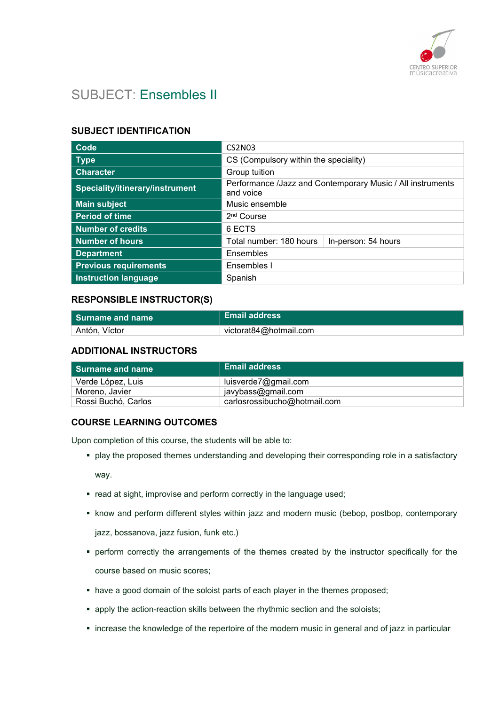

# SUBJECT: Ensembles II

### SUBJECT IDENTIFICATION

| Code                                   | <b>CS2N03</b>                                                           |                     |
|----------------------------------------|-------------------------------------------------------------------------|---------------------|
| <b>Type</b>                            | CS (Compulsory within the speciality)                                   |                     |
| <b>Character</b>                       | Group tuition                                                           |                     |
| <b>Speciality/itinerary/instrument</b> | Performance /Jazz and Contemporary Music / All instruments<br>and voice |                     |
| <b>Main subject</b>                    | Music ensemble                                                          |                     |
| <b>Period of time</b>                  | 2 <sup>nd</sup> Course                                                  |                     |
| <b>Number of credits</b>               | 6 ECTS                                                                  |                     |
| <b>Number of hours</b>                 | Total number: 180 hours                                                 | In-person: 54 hours |
| <b>Department</b>                      | Ensembles                                                               |                     |
| <b>Previous requirements</b>           | Ensembles I                                                             |                     |
| <b>Instruction language</b>            | Spanish                                                                 |                     |

#### RESPONSIBLE INSTRUCTOR(S)

| <b>Surname and name</b> | <b>Email address</b>   |
|-------------------------|------------------------|
| Antón, Víctor           | victorat84@hotmail.com |

#### ADDITIONAL INSTRUCTORS

| Surname and name    | <b>Email address</b>         |
|---------------------|------------------------------|
| Verde López, Luis   | luisverde $7@$ gmail.com     |
| Moreno, Javier      | javybass@gmail.com           |
| Rossi Buchó, Carlos | carlosrossibucho@hotmail.com |

#### COURSE LEARNING OUTCOMES

Upon completion of this course, the students will be able to:

 play the proposed themes understanding and developing their corresponding role in a satisfactory way.

- **•** read at sight, improvise and perform correctly in the language used;
- know and perform different styles within jazz and modern music (bebop, postbop, contemporary jazz, bossanova, jazz fusion, funk etc.)
- perform correctly the arrangements of the themes created by the instructor specifically for the course based on music scores;
- have a good domain of the soloist parts of each player in the themes proposed;
- **apply the action-reaction skills between the rhythmic section and the soloists;**
- increase the knowledge of the repertoire of the modern music in general and of jazz in particular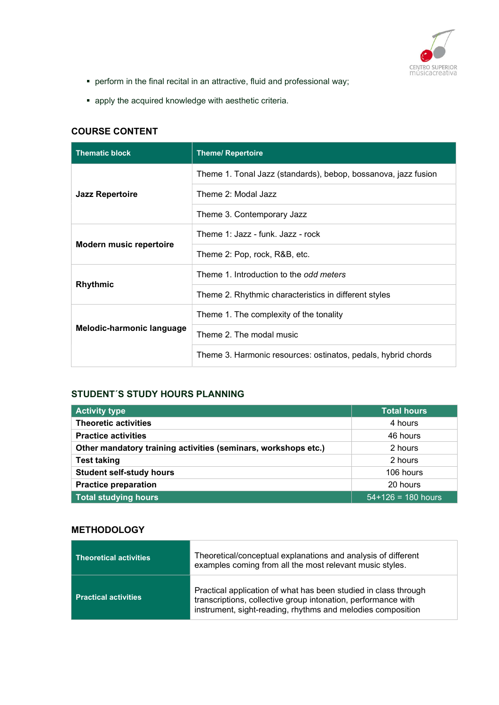

- perform in the final recital in an attractive, fluid and professional way;
- apply the acquired knowledge with aesthetic criteria.

# COURSE CONTENT

| <b>Thematic block</b>          | <b>Theme/ Repertoire</b>                                       |
|--------------------------------|----------------------------------------------------------------|
|                                | Theme 1. Tonal Jazz (standards), bebop, bossanova, jazz fusion |
| <b>Jazz Repertoire</b>         | Theme 2: Modal Jazz                                            |
|                                | Theme 3. Contemporary Jazz                                     |
| <b>Modern music repertoire</b> | Theme 1: $\text{J}$ azz - funk, $\text{J}$ azz - rock          |
|                                | Theme 2: Pop, rock, R&B, etc.                                  |
|                                | Theme 1. Introduction to the odd meters                        |
| Rhythmic                       | Theme 2. Rhythmic characteristics in different styles          |
| Melodic-harmonic language      | Theme 1. The complexity of the tonality                        |
|                                | Theme 2. The modal music                                       |
|                                | Theme 3. Harmonic resources: ostinatos, pedals, hybrid chords  |

# STUDENT´S STUDY HOURS PLANNING

| <b>Activity type</b>                                           | <b>Total hours</b>   |
|----------------------------------------------------------------|----------------------|
| <b>Theoretic activities</b>                                    | 4 hours              |
| <b>Practice activities</b>                                     | 46 hours             |
| Other mandatory training activities (seminars, workshops etc.) | 2 hours              |
| <b>Test taking</b>                                             | 2 hours              |
| <b>Student self-study hours</b>                                | 106 hours            |
| <b>Practice preparation</b>                                    | 20 hours             |
| Total studying hours                                           | $54+126 = 180$ hours |

#### **METHODOLOGY**

| <b>Theoretical activities</b> | Theoretical/conceptual explanations and analysis of different<br>examples coming from all the most relevant music styles.                                                                       |
|-------------------------------|-------------------------------------------------------------------------------------------------------------------------------------------------------------------------------------------------|
| <b>Practical activities</b>   | Practical application of what has been studied in class through<br>transcriptions, collective group intonation, performance with<br>instrument, sight-reading, rhythms and melodies composition |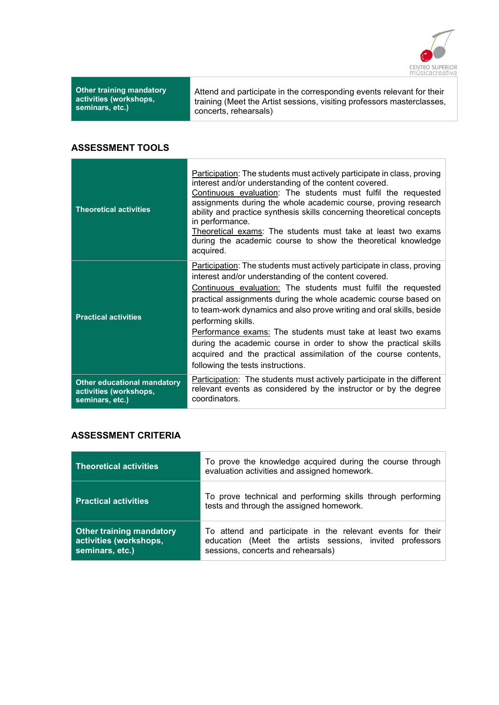

# ASSESSMENT TOOLS

| <b>Theoretical activities</b>                                                   | Participation: The students must actively participate in class, proving<br>interest and/or understanding of the content covered.<br>Continuous evaluation: The students must fulfil the requested<br>assignments during the whole academic course, proving research<br>ability and practice synthesis skills concerning theoretical concepts<br>in performance.<br>Theoretical exams: The students must take at least two exams<br>during the academic course to show the theoretical knowledge<br>acquired.                                                                                                   |
|---------------------------------------------------------------------------------|----------------------------------------------------------------------------------------------------------------------------------------------------------------------------------------------------------------------------------------------------------------------------------------------------------------------------------------------------------------------------------------------------------------------------------------------------------------------------------------------------------------------------------------------------------------------------------------------------------------|
| <b>Practical activities</b>                                                     | Participation: The students must actively participate in class, proving<br>interest and/or understanding of the content covered.<br>Continuous evaluation: The students must fulfil the requested<br>practical assignments during the whole academic course based on<br>to team-work dynamics and also prove writing and oral skills, beside<br>performing skills.<br>Performance exams: The students must take at least two exams<br>during the academic course in order to show the practical skills<br>acquired and the practical assimilation of the course contents,<br>following the tests instructions. |
| <b>Other educational mandatory</b><br>activities (workshops,<br>seminars, etc.) | <b>Participation:</b> The students must actively participate in the different<br>relevant events as considered by the instructor or by the degree<br>coordinators.                                                                                                                                                                                                                                                                                                                                                                                                                                             |

# ASSESSMENT CRITERIA

| <b>Theoretical activities</b>                                                | To prove the knowledge acquired during the course through<br>evaluation activities and assigned homework.                                                    |  |
|------------------------------------------------------------------------------|--------------------------------------------------------------------------------------------------------------------------------------------------------------|--|
| <b>Practical activities</b>                                                  | To prove technical and performing skills through performing<br>tests and through the assigned homework.                                                      |  |
| <b>Other training mandatory</b><br>activities (workshops,<br>seminars, etc.) | To attend and participate in the relevant events for their<br>education (Meet the artists sessions, invited professors<br>sessions, concerts and rehearsals) |  |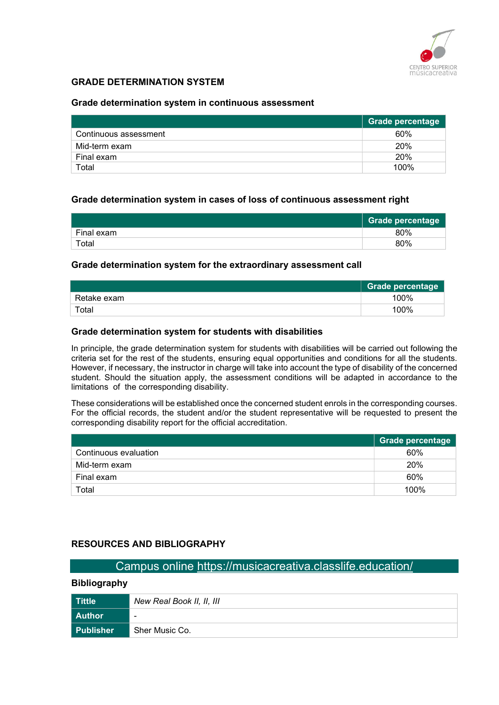

### GRADE DETERMINATION SYSTEM

#### Grade determination system in continuous assessment

|                       | Grade percentage |
|-----------------------|------------------|
| Continuous assessment | 60%              |
| Mid-term exam         | 20%              |
| Final exam            | 20%              |
| Total                 | 100%             |

#### Grade determination system in cases of loss of continuous assessment right

|            | <b>Grade percentage</b> |
|------------|-------------------------|
| Final exam | 80%                     |
| Total      | 80%                     |

#### Grade determination system for the extraordinary assessment call

|             | <b>Grade percentage</b> |
|-------------|-------------------------|
| Retake exam | 100%                    |
| ⊤otal       | 100%                    |

#### Grade determination system for students with disabilities

In principle, the grade determination system for students with disabilities will be carried out following the criteria set for the rest of the students, ensuring equal opportunities and conditions for all the students. However, if necessary, the instructor in charge will take into account the type of disability of the concerned student. Should the situation apply, the assessment conditions will be adapted in accordance to the limitations of the corresponding disability.

These considerations will be established once the concerned student enrols in the corresponding courses. For the official records, the student and/or the student representative will be requested to present the corresponding disability report for the official accreditation.

|                       | Grade percentage |
|-----------------------|------------------|
| Continuous evaluation | 60%              |
| Mid-term exam         | 20%              |
| Final exam            | 60%              |
| Total                 | 100%             |

#### RESOURCES AND BIBLIOGRAPHY

# Campus online https://musicacreativa.classlife.education/

#### Bibliography

| Tittle           | New Real Book II, II, III |
|------------------|---------------------------|
| l Author         | $\overline{\phantom{0}}$  |
| <b>Publisher</b> | Sher Music Co.            |